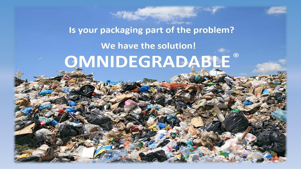# Is your packaging part of the problem? We have the solution! QMNIDEGRADABLE®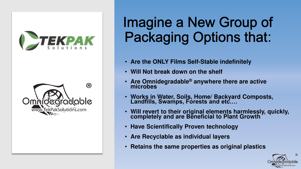



# Imagine a New Group of **Packaging Options that:**

- **Are the ONLY Films Self-Stable indefinitely**
- **Will Not break down on the shelf**
- **Are Omnidegradable® anywhere there are active microbes**
- **Works in Water, Soils, Home/ Backyard Composts, Landfills, Swamps, Forests and etc.…**
- **Will revert to their original elements harmlessly, quickly, completely and are Beneficial to Plant Growth**
- **Have Scientifically Proven technology**
- **Are Recyclable as individual layers**
- **Retains the same properties as original plastics**

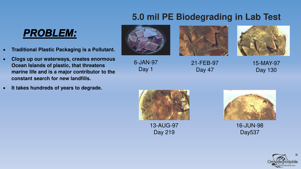## **5.0 mil PE Biodegrading in Lab Test**

## **PROBLEM:**

- **Traditional Plastic Packaging is a Pollutant.**
- **Clogs up our waterways, creates enormous Ocean Islands of plastic, that threatens marine life and is a major contributor to the constant search for new landfills.**
- **It takes hundreds of years to degrade.**



6-JAN-97

Day 1



21-FEB-97 Day 47



15-MAY-97 Day 130



13-AUG-97 Day 219



16-JUN-98 Day537

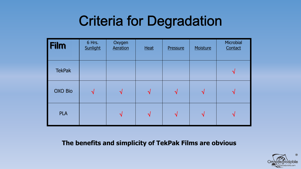## **Criteria for Degradation**

| <b>Film</b>   | 6 Hrs.<br>Sunlight | Oxygen<br>Aeration | <b>Heat</b>   | Pressure                   | Moisture                   | Microbial<br>Contact   |
|---------------|--------------------|--------------------|---------------|----------------------------|----------------------------|------------------------|
| <b>TekPak</b> |                    |                    |               |                            |                            | $\mathcal{N}$          |
| OXO Bio       | $\sqrt{ }$         | $\sqrt{ }$         | $\mathcal{N}$ | $\boldsymbol{\mathcal{N}}$ | $\boldsymbol{\mathcal{N}}$ | $\mathbf{\mathcal{N}}$ |
| <b>PLA</b>    |                    | $\mathcal{N}$      | N             | ่ง                         | $\mathbf \Delta$           | $\mathcal{N}$          |

### **The benefits and simplicity of TekPak Films are obvious**

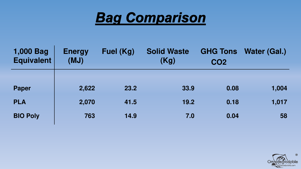

| 1,000 Bag<br><b>Equivalent</b> | <b>Energy</b><br>(MJ) | Fuel (Kg) | <b>Solid Waste</b><br>(Kg) | <b>GHG Tons</b><br><b>CO2</b> | Water (Gal.) |
|--------------------------------|-----------------------|-----------|----------------------------|-------------------------------|--------------|
|                                |                       |           |                            |                               |              |
| <b>Paper</b>                   | 2,622                 | 23.2      | 33.9                       | 0.08                          | 1,004        |
| <b>PLA</b>                     | 2,070                 | 41.5      | 19.2                       | 0.18                          | 1,017        |
| <b>BIO Poly</b>                | 763                   | 14.9      | 7.0                        | 0.04                          | 58           |

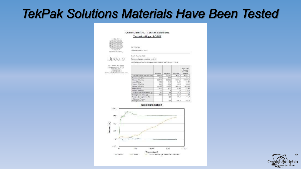## **TekPak Solutions Materials Have Been Tested**

#### **CONFIDENTIAL - TekPak Solutions** Tested - 48 ga. BOPET





To: TEKPAK

Diate February 1, 2017.

From: Thomas Poth

Лытбек от радка вклютор сомет 2

### Update

Regarding: ASTM D6511 Update for TEKPAK Samples (617 Days).

2111 Minochitti, Susa a Abugueraje, NM 87107 7 505,500,9994 M 505.500.9916 thomas.polt@edenvessarchist.com

|                                         | kiculum: | Negative | Prostive.             | $1217 - 48$<br>Gauge.<br>Big-PET-<br><b>Insalad</b> |
|-----------------------------------------|----------|----------|-----------------------|-----------------------------------------------------|
| Cumulative Gas Volume (mL)              | 4437.61  | 4138.4   | 12024.8               | 24197.7                                             |
| Percent CH+196)                         | 58.81    | 54.0     | 44.3                  | 51.6                                                |
| Volume CH4 EnLi                         | 2521.61  | 2233.2   | 6321.3                | 12479.3                                             |
| Mess CH <sub>4</sub> (g)                | 1.80     | $-1.001$ | 3.80                  | 8.91                                                |
| Percent CO2 (%)                         | 35.51    | $-36.6$  | 40.6                  | 33.6                                                |
| Volume CO <sub>21</sub> teL             | 5576.3   | 1513.3   | 4887.3                | $-1126.9$                                           |
| Maanix CO: Ical                         | $-3.10$  | 2.97     | 0.60                  | 15.96                                               |
| Sample Maux (g)                         | 10       | -104     | 10                    | $-20.0$                                             |
| Theoretical Saniple Mass (g)            | 0.0.     | 8.6      | $-42$                 | 12.4                                                |
| Hollywood biobistolet                   | 2.201    | 2.01     | $-5.47$               | 11.04                                               |
| Percent Biodegnaded (%)                 |          | -22      | 77.6                  | $-74.4$                                             |
| Adjusted Percent<br>(26) behavioral Bio |          | $-2.8$   | <b>SALES</b><br>100.0 | 82.1                                                |

Biodegradation